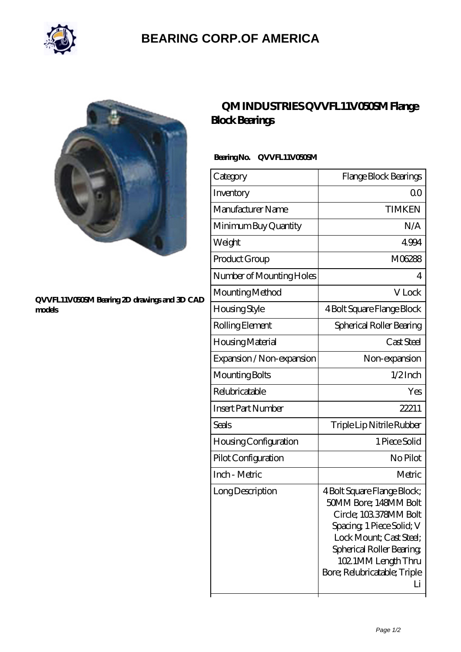

## **[BEARING CORP.OF AMERICA](https://m.bluemondayreview.com)**



#### **[QVVFL11V050SM Bearing 2D drawings and 3D CAD](https://m.bluemondayreview.com/pic-175605.html) [models](https://m.bluemondayreview.com/pic-175605.html)**

## **[QM INDUSTRIES QVVFL11V050SM Flange](https://m.bluemondayreview.com/am-175605-qm-industries-qvvfl11v050sm-flange-block-bearings.html) [Block Bearings](https://m.bluemondayreview.com/am-175605-qm-industries-qvvfl11v050sm-flange-block-bearings.html)**

### **Bearing No. QVVFL11V050SM**

| Category                  | Flange Block Bearings                                                                                                                                                                                                          |
|---------------------------|--------------------------------------------------------------------------------------------------------------------------------------------------------------------------------------------------------------------------------|
| Inventory                 | 0 <sup>0</sup>                                                                                                                                                                                                                 |
| Manufacturer Name         | <b>TIMKEN</b>                                                                                                                                                                                                                  |
| Minimum Buy Quantity      | N/A                                                                                                                                                                                                                            |
| Weight                    | 4994                                                                                                                                                                                                                           |
| Product Group             | M06288                                                                                                                                                                                                                         |
| Number of Mounting Holes  | 4                                                                                                                                                                                                                              |
| Mounting Method           | V Lock                                                                                                                                                                                                                         |
| Housing Style             | 4 Bolt Square Flange Block                                                                                                                                                                                                     |
| Rolling Element           | Spherical Roller Bearing                                                                                                                                                                                                       |
| Housing Material          | Cast Steel                                                                                                                                                                                                                     |
| Expansion / Non-expansion | Non-expansion                                                                                                                                                                                                                  |
| Mounting Bolts            | $1/2$ Inch                                                                                                                                                                                                                     |
| Relubricatable            | Yes                                                                                                                                                                                                                            |
| <b>Insert Part Number</b> | 22211                                                                                                                                                                                                                          |
| Seals                     | Triple Lip Nitrile Rubber                                                                                                                                                                                                      |
| Housing Configuration     | 1 Piece Solid                                                                                                                                                                                                                  |
| Pilot Configuration       | No Pilot                                                                                                                                                                                                                       |
| Inch - Metric             | Metric                                                                                                                                                                                                                         |
| Long Description          | 4 Bolt Square Flange Block;<br>50MM Bore; 148MM Bolt<br>Circle: 103.378MM Bolt<br>Spacing 1 Piece Solid; V<br>Lock Mount: Cast Steel:<br>Spherical Roller Bearing<br>102 1MM Length Thru<br>Bore; Relubricatable; Triple<br>Li |